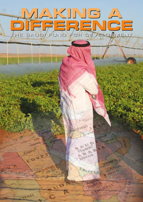### **MAKING A MAKING A DIFFERENCE DIFFERENCE THE SAUDI FUND FOR DEVELOPMENT THE SAUDI FUND FOR DEVELOPMENT**四期期

MUNIN

**A adr** 

Madrid

EMEN

HOPIA

Aden

ISRAEL

EGYP

Cairo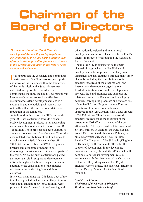## **Chairman of the Board of Directors foreword**

*This new version of the Saudi Fund for Development Annual Report highlights the achievements of the Fund during another year of its activities in providing financial assistance to the developing countries in the field of socioeconomic development.*

I<sup>I</sup> t is natural that the consistent and continuous<br>performance of the Fund arouses great pride  $\blacksquare$  is natural that the consistent and continuous and devotion, as it comes within the framework of the noble mission, the Saudi Government entrusted to it prior three decades. By commencing the fund, the Saudi Government was keen enough to possess such an effective instrument to extend developmental aids in a systematic and methodological manner, that optimally reflects the international status and reputation of the Kingdom.

As indicated in this report, the SFD, during the year 2004 has contributed towards financing twelve development projects, in ten developing countries with a total amount of more than SR 716 million. These projects had been distributed among various sectors of development. Thus , the accumulated contributions of the Fund since its establishment in 1975AD have reached SR 24807.67 million to finance 369 developmental projects and economic programs in 68 developing countries scattered in various parts of the world. No doubt, such contributions played an important role in supporting development efforts throughout the beneficiary countries, in addition to the consolidation of the bilateral relations between the kingdom and those countries.

It is worth mentioning that 241 loans , out of the total loans granted by the Fund in the past period, with a total amount of SR16000 million, were provided in the framework of co-financing with

other national, regional and international development institutions. This reflects the Fund's interest in respect of coordinating the world aids for development.

Though the SFD is considered as the main channel, through which the Saudi bilateral development aids are provided, the Kingdom assistances are also expanded through many other channels, including the contributions to the financial resources of the other regional and international development organizations. In addition to its support to the developmental projects, the Fund promotes and supports the relations between the Kingdom and developing countries, through the processes and transactions of the Saudi Export Program, where 22 export operations of national commodities were approved in the year 2004AD with a total amount of SR350 million. Thus the total approved financial requests since the inception of the program in 2001AD up to the end of the year 2004 reached 51 requests with a total amount of SR1160 million. In addition, the Fund has also issued 13 Export Credit Insurance Policies, the amount of which exceeded SR221 million. Finally, The Kingdom of Saudi Arabia (Kingdom of Humanity) will continue its efforts for the support of development in the developing countries especially through the SFD which will continue to pursue its development role in accordance with the directives of the Custodian of the Two Holy Mosques, and His Royal Highness Crown Prince, and His Royal Highness Second Deputy Premier, for the benefit of mankind.

#### *Minister of Finance Chairman of the Board of Directors Ibrahim Bin Abdulaziz Al-Assaf*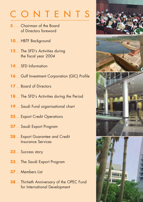# CONTENTS

- ..... Chairman of the Board of Directors foreword
- ... HBTF Background
- ... The SFD's Activities during the fiscal year 2004
- ... SFD Information
- ... Gulf Investment Corporation (GIC) Profile
- ... Board of Directors
- ... The SFD's Activities during the Period
- ... Saudi Fund organisational chart
- ... Export Credit Operations
- ... Saudi Export Program
- ... Export Guarantee and Credit Insurance Services
- ... Success story
- ... The Saudi Export Program
- . Members List
- ... Thirtieth Anniversary of the OPEC Fund for International Development

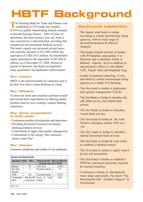## **HBTF Background**

**T**he Housing Bank for Trade and Finance was established in 1974 under law number 4/1974 as a public shareholding limited company to provide housing finance. After 24 years of operations, the bank started a new era, when it was converted to a universal bank, providing full commercial and investment banking services. The bank's capital was increased several times, and currently amounts of JD (100) million the equivalent of USD (141) million. Its shareholders equity amounted to the equivalent of JD (298.4) million, as of December 31, 2004. During its period of operation, the Bank accomplished many quantitative and qualitative achievements:

#### **Our Vision:**

HBTF is the preferred bank for customers and to be their first choice when thinking of a bank.

#### **Our Mission:**

To meet our retail and corporate customers needs and exceed their expectations by offering quality products and services creating a unique banking experience.

#### **Our Value proposition is built upon:**

- Continuous product development and innovation
- Providing diversified financial investment banking products services
- Commitment to apply total quality management
- Commitment to the saying "Our customers always come first".

#### **Our Values:**

Customers satisfaction and welfare of our employees.

| <b>Operational Details</b><br>(2004) |                                     | Emancial Dersits (2004) in million AD<br>(Exchange Rate: 51-0.709.1D) |         |  |
|--------------------------------------|-------------------------------------|-----------------------------------------------------------------------|---------|--|
| <b>Branches</b>                      | 师                                   | Total Assets                                                          | 2,494.9 |  |
| West Bank<br><b>Branches</b>         |                                     | Net Income eller las-                                                 | 31.7    |  |
| ATMs.                                | 148                                 | Customers Deposits                                                    | 1,919,1 |  |
| Correspondent<br>Banks.              | More ticas 400<br>in fill countries | Credit<br>Lome<br>s.<br><b>Facilities</b>                             | 531.9   |  |

#### **Continuous Leadership**

- The largest retail bank in Jordan according to certain international rating agencies, with its wide range of diversified products & delivery channels.
- The largest branch network in Jordan, with 96 branches, and another 4 in Palestine and a subsidiary banks in Bahrain , Algeria , Syria in addition to representative offices in Abu Dhabi/ UAE, Tripoli/ libya and Baghdad/ Iraq.
- Leader in banking technology. It was described by certain international rating agencies as a leader in E-banking.
- The first bank in Jordan to implement total quality management (T.Q.M).
- The first Bank in Jordan to introduce the call center service, and mobile bank service.
- The first Bank in Jordan to introduce virtual bank services.
- The first bank in Jordan & the Arab World to introduce mobile ATM on a van.
- The first bank in Jordan to introduce mutual investment fund services.
- The first bank in Jordan & Arab world to establish a children branch.
- The first bank in Jordan to apply control & risk self assessment.
- The first bank in Jordan to establish a PORTAL (advanced interactive Internal & external websites).
- Continuous winning of international honor ships and awards. The latest "The International Star - Golden Category" in Switzerland.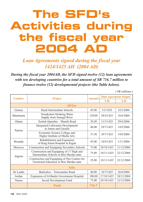## **The SFD's Activities during the fiscal year 2004 AD**

### *Loan Agreements signed during the fiscal year 1424/1425 AH (2004 AD)*

*During the fiscal year 2004AD, the SFD signed twelve (12) loan agreements with ten developing countries for a total amount of SR 716.7 million to finance twelve (12) developmental projects (the Table below).*

( SR millions )

| <b>Country</b>                                                              | <b>Project</b>                                                                            | <b>Amount</b> | <b>Date Agreement Singed</b> |            |  |  |
|-----------------------------------------------------------------------------|-------------------------------------------------------------------------------------------|---------------|------------------------------|------------|--|--|
|                                                                             |                                                                                           |               | <b>A.H.</b>                  | A.D.       |  |  |
| <b>Africa</b>                                                               |                                                                                           |               |                              |            |  |  |
| Guinea                                                                      | Rural Intermediate Schools                                                                | 45.00         | 3/2/1425                     | 24/3/2004  |  |  |
| Mauritania                                                                  | Nouakchott Drinking Water<br>Supply from Senegal River                                    | 120.00        | 28/4/1425                    | 16/6/2004  |  |  |
| Ghana                                                                       | Teetteh Quarshie - Mamfe Road                                                             | 39.20         | 11/5/1425                    | 29/6/2004  |  |  |
| Tunisia                                                                     | <b>Integrated Cultivation Development</b><br>in Jumin and Gazalla                         |               | 29/7/1425                    | 14/9/2004  |  |  |
|                                                                             | Economic Science College and<br>Higher Institute of Media Arts                            | 37.50         | 29/7/1425                    | 14/9/2004  |  |  |
| Rehabilitation and Expansion<br>Rwanda<br>of King Faisal Hospital in Kigali |                                                                                           | 45.00         | 18/9/1425                    | 1/11/2004  |  |  |
| Morocco                                                                     | <b>Construction and Equipping Secondary Schools</b>                                       | 75.00         | 28/10/1425                   | 11/12/2004 |  |  |
| Algeria                                                                     | Construction and Equipping of 17 High and<br>Intermediate Schools in Bou Merdas state     | 75.00         | 10/11/1425                   | 22/12/2004 |  |  |
|                                                                             | Construction and Equipping of Two Centers for<br>Vocational Education in Bou Merdas state | 25.00         | 10/11/1425                   | 22/12/2004 |  |  |
| <b>Asia</b>                                                                 |                                                                                           |               |                              |            |  |  |
| Sri Lanka                                                                   | Batticaloa – Trincomalee Road                                                             |               | 10/7/1425                    | 26/8/2004  |  |  |
| Jordan                                                                      | Expansion of Al-Bashir Government Hospital                                                |               | 17/10/1425                   | 30/11/2004 |  |  |
| Yemen                                                                       | Social Development Fund                                                                   | 75.00         | 29/10/1425                   | 12/12/2004 |  |  |
|                                                                             | <b>Total</b>                                                                              | 716.7         |                              |            |  |  |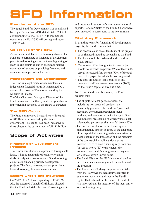# **SFD Information**

#### **Foundation of the SFD**

The Saudi Fund for Development was established by Royal Decree No. M/48 dated 14/8/1394 AH corresponding to 1/9/1974 AD. It commenced operations on 18/2/1395 AH corresponding to 1/3/1975 AD.

#### **Objectives of the SFD**

As defined in its Charter, the basic objectives of the Fund are to participate in financing of development projects in developing countries through granting of loans to said countries, and to encourage national non-crude-oil exports by providing financing and insurance in support of such exports.

#### **Management and Organization**

The Fund is a legal entity which maintains an independent financial status. It is managed by a six-member Board of Directors chaired by the Minister of Finance.

The Vice Chairman/ Managing Director of the Fund has executive authority and is responsible for implementing decisions of the Board of Directors.

#### **The SFD Capital**

The Fund commenced its activities with capital of SR 10 billion provided by the Saudi government. The capital has been increased in three phases to its current level of SR 31 billion.

### **Scope of Activities**

#### **Financing of Development Projects**

The Fund's contributions are provided through soft loans. It has no geographical exclusivity and it deals directly with governments of the developing countries in financing priority development projects. The Fund, however, assigns priorities to lesser developing, low-income countries.

#### **Export Credit and Insurance**

On 26/12/1419 AH, corresponding to 12/4/1999 AD, the esteemed Council of Ministers directed that the Fund undertake the task of providing credit and insurance in support of non-crude-oil national exports. Certain Articles of the Fund's Charter have been amended to correspond to the new mission.

#### **Statutory Framework**

In granting loans for financing of developmental projects, the Fund requires that:

- **1** The economic and social feasibility of the project to be financed should be acceptable to the Fund.
- **2** The loan should be disbursed and repaid in Saudi Riyals.
- **3** The amount of the loan granted for any project should not exceed five percent (5%) of the Fund's capital nor exceed fifty percent (50%) of the total cost of the project for which the loan is granted.
- **4** The total amount of loans granted to any country should not exceed ten percent (10%) of the Fund's capital at any one time.

For Export Credit and Insurance, the Fund requires that:

- The eligible national goods/services, shall include the non-crude oil products, the industrially processed, the modified/processed secondary downstream petroleum sector products, and goods/services for the agricultural and industrial projects, all of which whose local value-added percentage shall not fall below 25%.
- The Fund's contribution in the financing of a transaction may amount to 100% of the total price of the export deal according to the circumstances and the nature of the transaction and the measures of the commercial or political risk that are involved. Terms of such financing vary from one (1) year to twelve (12) years whereas the insurance cover and finance guarantee may reach 90% of total export unpaid value.
- The Saudi Riyal or the USD is denominated as the official used currency in all transactions of the Program.
- The Program shall always impose on and take from the Borrower the necessary securities to guarantee repayment and secure the Fund's rights. That is based on the nature of the deal, risk involved and the integrity of the legal entity as a contracting party.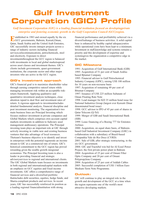### **Gulf Investment Corporation (GIC) Profile**

*Gulf Investment Corporation (GIC) is a leading financial institution focused on developingprivate enterprise and fostering economic growth in the Gulf Cooperation Council (GCC)region.*

**E**stablished in 1983 and owned equally by the six GCC governments, Bahrain, Kuwait,Oman, Qatar, Saudi Arabia and the United Arab Emirates, GIC successfully invests inmajor projects across a range of industry sectors including financial services,telecommunications, petrochemicals, steel and electricity. Exposure to direct investmentsthroughout the GCC region is balanced with investments in local and global marketsspread across asset classes and investment themes. GIC's clients include governments, quasi-government institutions, the corporate sector and other major investors who are active in the GCC region.

#### **GIG's investment approach**

GIC's financial goal is to maximize shareholder value through earning competitive ratesof return while managing investment risk within an acceptable riskreturn framework. Applying qualitative and quantitative investment analysis techniques, close attention ispaid to deal flow and investment rates of return. A rigorous approach to investmentincludes detailed fundamental analysis, financial discipline and post investment monitoring. The organization's two main business lines are Principal Investing which focuses ondirect investment in private companies and Global Markets which comprises own account capital markets investments in addition to fudiciary asset management andtreasury operations. The Principal investing team plays an important role at GIC through actively investing in viable new and existing business ventures that take advantage of local resources. Theteam's business objective is to identify and invest in enterprises with the potential togenerate an income stream to GIC at a commercial rate of return. GIC's historical commitment to the GCC region has proved rewarding given the sizable growth inregional economies. The Principal Investing team is also a leader in providing financial and strategic advisoryservices to regional and international clients. The GIC Global Markets team focuses on investments in both regional and internationalcapital markets with an emphasis on GCC equities and fixed income investments. GIC offers a comprehensive range of financial services and a diversified portfolio thatincludes debt securities, equities, hedge funds, and Sharia-compliant products and services. In recent years, GIC has successfully reinforced its position as a leading regional financialinstitution with strong

financial performance and profitability achieved via a diversifiedrange of business activities. A solid capital base is enhanced by healthy capital adequacyratios while operational costs have been kept to a minimum. Investment in staff,knowledge and systems remains a priority and this development of expertise and systemsgives the organization a competitive edge in the market.

#### **GIC Milestone**

1991: Acquisition of Gulf International Bank (GIB) 1995: Acquisition of 51 per cent of Saudi Arabiabased Bjtumat Company 1995: Financial advisor to Gulf Petrochemical Industry Company (GPIC), raising US\$ 100 million for 10 years on non-recourse basis 1997: Acquisition of remaining 49 per cent of Bitumat Company 1997: Issuance of US\$ 225 million Sultanate of Oman Floating Rate Note 1998: Lead manager for KD 35 million bond issue for National Industries Group (largest ever Kuwaiti Dinar denominated bond issue) 1998: GCC advisor to IPO of 45 per cent of shares in Qatar Telecom (Q-Tel) 1999: Merger of GIB and Saudi International Bank (SIB) 1999: Lease financing of a Boeing 777 for Emirates Airlines 2000: Acquisition, on equal share basis, of Bahrainbased Gulf Industrial Investment Company (GIIC) in collaboration with a subsidiary of Brazil-based Companhia Vale do Rio Doce (CVRD) 2001: Sale of GIB, after strategic restructuring, to the six GCC government. 2004: GIC and Tractebel win bid for AI Ezzel Power Project, the first private power plant in Bahrain 2004: Acquisition of 25 per cent of Omani Fiber Optic Company and 20 per cent of Omani Polypropylene Company.

2004: Acquisition of 25 per cent of Jeddah Cables 2005: Successful completion of US\$ 1 billion Euro Medium-Term Note Programme.

#### **Outlook:**

GIC will continue to play an integral role in the growth and development of the GCC at a time when the region represents one of the world's most attractive developing markets.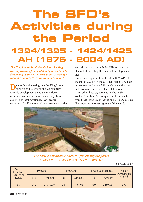### **The SFD's Activities during the Period 1394/1395 - 1424/1425 AH (1975 - 2004 AD)**

*The Kingdom of Saudi Arabia has a leading role in providing financial developmental aid to developing countries in terms of the percentage ratio of its aids to its Gross National Product.*

**D**ue to this pioneering role the Kingdom is supporting the efforts of such countries towards developmental course in various economic and social aspects especially those assigned to least developed, low-income countries. The Kingdom of Saudi Arabia provides such aids mainly through the SFD as the main channel of providing the bilateral developmental aids.

Since the inception of the Fund in 1975 AD till the end of 2004 AD, the SFD has signed 379 loan agreements to finance 369 developmental projects and economic programs. The total amount involved in these agreements has been SR 24807.67 million. Sixty-eight countries benefited from these loans; 39 in Africa and 24 in Asia, plus five countries in other regions of the world.



*The SFD's Cumulative Loan Profile during the period 1394/1395 – 1424/1425 AH (1975 - 2004 AD)*

( SR Million )

| No. of<br>Countries<br>Receiving<br>Loans |     | Projects |     | Programs |     | Projects & Programs |                             |
|-------------------------------------------|-----|----------|-----|----------|-----|---------------------|-----------------------------|
|                                           | No. | Amount   | No. | Amount   | No. | Amount              | <b>Agreements</b><br>Signed |
| 68                                        | 343 | 24070.06 | 26  | 737.61   | 369 | 24807.67            | 379                         |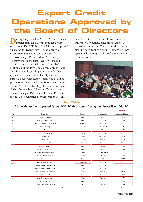### **Export Credit Operations Approved by the Board of Directors**

uring the year 2004 AD, SEP received may applications for national product export operations. The SFD Board of Directors approved financing for twenty-two (22) non-crude-oil export operations with a total value of approximately SR 350 million (1st Table). Thereby, the Board approved fifty -one (51) applications with a total value of SR 1160 million as of the Program's inception(2nd Table). SEP, however, is still in possession of (106) applications under study. The Operations approved deal with export operations of Saudi products and services to the following countries: United Arab Emirates, Egypt, Jordan, Lebanon, Sudan, Turkey, Iran, Morocco, Tunisia, Algeria, Yemen, Senegal, Pakistan and China. Products included petrochemicals, hydro-carbon solvents,

cables, electrical items, steel, truck-tractors, trailers, water pumps, steel pipes, and pivot irrigation equipment. The approved operations also included twenty-eight (28) financing lines opened with foreign banks to finance a variety of Saudi exports.



#### **1st Table**

#### *List of Operations Approved by the SFD Administration During the Fiscal Year 2004 AD*

|                |                                       |         |                             | (SR Million)           |
|----------------|---------------------------------------|---------|-----------------------------|------------------------|
| <b>Ser</b>     | <b>Beneficiary</b>                    | Country | <b>Merchandise</b>          | <b>Amount Financed</b> |
| 1              | Al-Zikra Company                      | Sudan   | Trucks                      | 8.25                   |
| $\mathbf{2}$   | Sudanese - Saudi Bank                 | Sudan   | Line of Credit              | 7.50                   |
| 3              | Moroccan Bank for Foreign Trade       | Morocco | Line of Credit              | 37.50                  |
| $\overline{4}$ | Cortex Company                        | Turkey  | Petrochemicals              | 37.50                  |
| 5              | Miscellaneous                         | Yemen   | <b>Electrical Equipment</b> | 1.20                   |
| 6              | Algeria External Bank                 | Algeria | Line of Credit              | 18.75                  |
| $\tau$         | Khartoum Bank                         | Sudan   | Line of Credit              | 26.25                  |
| $\bf 8$        | Sukar Bank                            | Turkey  | Line of Credit              | 18.75                  |
| 9              | Al-Jazeerah Trading and Services      | Sudan   | Trucks                      | 12.48                  |
| 10             | Baq Bus Transport                     | Sudan   | Trucks                      | 4.50                   |
| 11             | Faqeer Investment Ltd                 | Sudan   | Trucks                      | 3.80                   |
| 12             | I Tianchi Agriculture Development Co. | China   | Irrigation equipment        | 56.25                  |
| 13             | Libra Investment Company              | Sudan   | TV sets                     | 1.08                   |
| 14             | Denez Bank                            | Turkey  | Line of Credit              | 18.75                  |
| 15             | Intercontinental Bank                 | Lebanon | Line of Credit              | 18.75                  |
| 16             | Arab Investment Organization          | Sudan   | Line of Credit              | 18.75                  |
| 17             | Kuwaiti - Turkish Finance Bank        | Turkey  | Line of Credit              | 26.25                  |
| 18             | Saudi - Kuwaiti Finance Bank          | Tunisia | Line of Credit              | 11.25                  |
| 19             | Taj Ikhwan Ltd                        | Sudan   | Trucks                      | 7.50                   |
| 20             | Ahd Development Ltd                   | Sudan   | Trucks                      | 3.75                   |
| 21             | <b>Basma Express</b>                  | Sudan   | <b>Buses</b>                | 3.75                   |
| 22             | Al-Naqel Investment Company           | Sudan   | Trucks                      | 7.50                   |

**Total 350.06**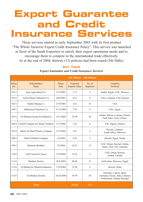### **Export Guarantee and Credit Insurance Services**

These services started in early September 2003 with its first product "The Whole Turnover Export Credit Insurance Policy". This service was launched in favor of the Saudi Exporters to satisfy their export operations needs and to encourage them to compete in the international trade effectively. As at the end of 2004, thirteen (13) policies had been issued (5th Table).

|               |                                     |                | (SR Million)                     | (SR Million)        |                                                                                               |
|---------------|-------------------------------------|----------------|----------------------------------|---------------------|-----------------------------------------------------------------------------------------------|
| Policy<br>No. | Policyholder's<br>Name              | Policy<br>Date | Expected<br><b>Exports Value</b> | No. of<br>Importers | Countries<br>Involved                                                                         |
| 101/3         | Astra Agricultural Co.              | 13/9/2003      | 7.13                             | 5                   | Jordan, Egypt, UAE, Morocco                                                                   |
| 102/3         | Arnon Plastic Industries Co.        | 20/9/2003      | 6.45                             | 6                   | USA, Lebanon, UAE, Kuwait                                                                     |
| 103/3         | Tanhat Mining Co.                   | 27/9/2003      | 4.52                             | 16                  | <b>USA</b>                                                                                    |
| 104/3         | AlKhorayef Industries Co.           | 31/12/2003     | 7.50                             | 9                   | USA, Egypt.                                                                                   |
| 105/4         | Al-Watania Group for Industries     | 16/1/2004      | 29.96                            | 56                  | Jordan, Morocco, Kenya, Yemen,<br>Gulf states, Syria, Greece                                  |
| 106/4         | United Company for Plastic Products | 11/5/2004      | 3.38                             | 8                   | UK, Algeria, Tunisia                                                                          |
| 107/4         | Munir Al-Manif Plastic Company      | 31/5/2004      | 3.41                             | 5                   | Kuwait, Lebanon,<br>South Africa, Morocco                                                     |
| 108/4         | Fahd Al-Khalil Company              | 1/6/2004       | 6.56                             | 3                   | Kuwait, Egypt, Oman                                                                           |
| 109/4         | Halawani Brothers                   | 7/6/2004       | 24.21                            | 12                  | UAE, Yemen, Kuwait, Jordan,<br>Qatar, USA, UK, Australia                                      |
| 110/4         | Gulf Union for Juices               | 17/8/2004      | 16.22                            | 5                   | UAE, Oman, Kuwait,<br>Jordan, Canada                                                          |
| 111/4         | Obeikan Factory                     | 26/9/2004      | 40.46                            | 13                  | Gulf states, Morocco, Egypt                                                                   |
| 112/4         | Al-Mutlaq for Mineral Industries    | 1/10/2004      | 31.88                            | 6                   | Kuwait, Qatar                                                                                 |
| 113/4         | Al-Obeikan Textiles                 | 24/10/2004     | 39.94                            | 28                  | Australia, Cyprus, Spain,<br>Germany, Greece, Italy, Lebanon<br>Netherlands, Poland, Portugal |
|               | <b>Total</b>                        |                | 221.62                           | 172                 |                                                                                               |

#### **5th Table** *Export Guarantee and Credit Insurance Services*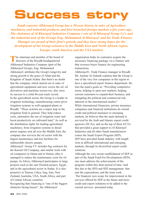## **Success story**

*Saudi exporter Alkhorayef Group has a 50-year history in sales of Agriculture machinery and industrial products, and first broached foreign markets a few years ago. The chairman of Al Khorayef Industries Company ( one of Al Khorayef Group Co's and the industrial arm of the Group) Eng. Mohammed Al Khorayef and his Trade Finance Manager are proud of their firm's growth, and they have strong hopes for the development of the Group existence in the Middle East and North African region, Europe, south America, and the USA markets*

The chairman and member of the board of directors of the Riyadh-headquartered Alkhorayef Industries Company (part of the Alkhorayef Group), Eng. Mohammed Alkhorayef, attributes the Group's longevity and strong growth to the grace of Allah and the Kingdom of Saudi Arabia. But there's no doubt that the company, which started out in sales of agricultural equipment and now covers the oil, oil derivatives and maritime sectors too, also owes its success to a solid 46-year track record. In the agricultural sector, the Group is a leader in irrigation technology, manufacturing centre pivot irrigation systems in well-equipped plants in Riyadh. "These systems are a major leap in the irrigation field in general. They help reduce costs, rationalize the use of irrigation water and boost productivity on cultivated land." As well as the distribution rights for leading agricultural machinery, from irrigation systems to diesel power engines sent all over the Middle East, the company also services the oil sector with the largest maintenance and test facilities for submersible electric pumps.

Alkhorayef Group CV includes big contracts for the Kuwait Oil Company, and similar work with oil companies in Oman and in Yemen, after it managed to reduce the maintenance costs for oil pumps. In Africa, Alkhorayef participates in large projects such as the east Owainat project, Egypt, and in the agricultural sector in Sudan. It is also proactive in Tunisia, Libya, Iraq, Iran, New Zealand, Australia, USA, South Africa, and part of Central African countries.

Recognizing that financing is "one of the biggest obstacles facing buyers", the Alkhorayef

organization helps its customers acquire the necessary financing package via a finance unit that oversees buyer finance for engineering transactions.

Alkhorayef's Trade Finance manager in Riyadh Mr. Ammar Al Zubaidi explains that the Group is one of the very few companies in the region to have a specialized export finance department. He lists the team's goals as: "Providing competitive terms, helping to open new markets, helping current customers to expand their business, and mitigating the political and commercial risk inherent in the international market." While international financiers, private insurance companies and financial institutions do extend credit and political insurance to emerging markets, he believes that the main demand is serviced by the Arab and Islamic export credit agencies (ECAs), and on the top of these ECA's that provided a great support to Al Khorayef Industries and all other Saudi manufacturers comes the Saudi Export Program (SEP). SEP have provided Saudi industry with length Arm in difficult international and emerging markets, through its diversified export credit solutions.

Although the very recent establishment of SEP as part of the Saudi Fund For Development (SFD), one must admires the achievements of the program within this short period of time. And this due to the SFD and SEP management that met the expectations, and the team work. The financier sees scope for improvement in the services offered by SEP in the future and more credit and export solutions to be added to the current services presented today.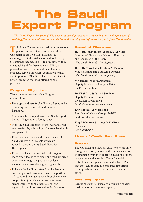## **The Saudi Export Program**

*The Saudi Export Program (SEP) was established pursuant to a Royal Decree for the purpose of providing financing and insurance to facilitate the development of non-oil exports from Saudi Arabia.*

**T**his Royal Decree was issued in response to a general policy of the Government of the Custodian of the Two Holy Mosques, to encourage the industrial sector and to diversify the national income. The SEP, a program within the Saudi Fund for Development (SFD), is pleased to invite exporters of manufactured products, service providers, commercial banks and importers of Saudi products and services, to benefit from the facilities offered by this program.

#### **Program Objectives**

The primary objectives of the Program are as follows:

- Develop and diversify Saudi non-oil exports by extending various credit facilities and insurance.
- Maximize the competitiveness of Saudi exports by providing credit to foreign buyers.
- Motivate Saudi exporters to discover and enter new markets by mitigating risks associated with non-payment.
- Encourage and enhance the involvement of Saudi exporters in projects which are funded/managed by the Saudi Fund for Development.
- Encourage local commercial banks to grant more credit facilities to small and medium sized exporters through the provision of loan guarantees and risk sharing arrangements.
- Enhance the facilities offered by the Program and mitigate risks associated with the portfolio of loans and loan guarantees through technical cooperation, joint financing and reinsurance arrangements with the international and regional institutions involved in this business.

#### **Board of Directors**

**H. E. Dr. Ibrahim ibn Abdulaziz Al Assaf** Minister of Finance and National Economy and Chairman of the Board *(The Saudi Fund for Development)*

#### **H. E. Dr. Yousef ibn Ibrahim Al Bassam**

Vice Chairman and Managing Director *(The Saudi Fund for Development)*

#### **Mr. Ismail Ibrahim Alshoura**

Deputy Minister of foreign Affairs for Political Affairs

#### **Dr.Khalid Abdullah Al-Sweilem**

Deputy Director General Investment Department *Saudi Arabian Monetary Agency*

#### **Eng. Mutlaq Al-Moraished**

President of Metals Group -SABIC And President of Hadeed

#### **Eng. Mohammed Ahmed Y.Z.Alireza** Chairman *Xenel Industrie*

#### **Lines of Credit Fact Sheet**

#### **Purpose**

Enables small and medium exporters to sell into foreign markets by allowing their clients access to financing from their local financial institutions or governmental agencies. These financial institutions and agencies are funded by SEP so that they can on-lend to companies importing Saudi goods and services on deferred credit terms.

#### **Executing Agency**

Executing Agency is usually a foreign financial institution or a government agency.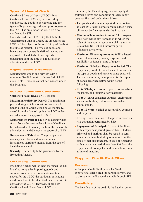#### **Types of Lines of Credit**

Confirmed Line of Credit (CLOC): In a Confirmed Line of Credit, the on-lending conditions, the goods to be exported and the types of buyers are agreed upon prior to granting the LOC. The amount of the CLOC is also confirmed by SEP.

Unconfirmed Line of Credit (ULOC): In the Unconfirmed Line of Credit, the amount of the LOC will be subject to the availability of funds at the time of request. The types of goods and buyers are only generally defined leaving the approval of the details of each specific transaction until the time of a request of an allocation under the LOC.

#### **Eligible Goods & Services**

Manufactured goods and services with a minimum Saudi domestic value-added of 25% are eligible. Crude oil cannot be financed under this Program.

#### **General Terms and Conditions**

**Currency:** Saudi Riyals or US Dollars

**Maximum Availability Period:** The maximum period during which allocations can be made under a Line of Credit would be 24 months (2 years) from the date of signing the LOC, unless extended upon the approval of SEP.

**Disbursement Period:** The period during which funds from sub-loans under a Line of Credit can be disbursed will be one year from the date of the allocation, extendable upon the approval of SEP.

**Repayment of Principal:** The principal and mark-up shall be repaid in semi-annual installments starting 6 months from the date of final disbursement.

**Security:** The facility to be guaranteed by the Executing Agency.

#### **On-Lending Conditions**

Executing Agency will on-lend the funds (as subloans) to companies importing goods and services from Saudi exporters. As mentioned above, for the CLOC the particular on-lending conditions have to be identified precisely prior to approving the CLOC. However, under both Confirmed and Unconfirmed LOC, at a

minimum, the Executing Agency will apply the following terms and conditions on each import contract financed under the sub-loan:

- The goods and services exported must contain at least 25% Saudi domestic value added, Crude oil cannot be financed under the Program.
- **Minimum Transaction Amount:** The Program shall not finance any transaction in which the value of the underlying commercial transaction is less than SR 100,000, however partial shipments are allowed.
- **Maximum Financing Amount:** Will be based on credit assesment, country exposure and availibility of funds at time of request.
- **Maximum Sub-loan Repayment Period:** The repayment period of a sub-loan will depend on the type of goods and services being exported. The maximum repayment period for the types of goods described below would be the following:
- **Up to 360 days:** consumer goods, consumables, foodstuffs, and industrial raw materials.
- **Up to 3 years:** consumer durables, engineering spares, tools, dies, fixtures and low-value capital goods.
- **Up to 12 years:** capital goods turnkey contracts and projects.
- **Pricing:** Determination of the price is based on risk evaluation performed by SEP.
- **Repayment of Principal:** In case of facilities with a repayment period greater than 360 days, principal and mark up shall be repaid in semiannual installments starting 6 months from the date of final disbursement. In case of financing with a repayment period less than 360 days, the repayment of principal would be in a lump-sum at time of maturity.

#### **Supplier Credit Fact Sheet**

#### **Purpose**

A Supplier Credit Facility enables Saudi exporters to extend credit to foreign buyers, and to discount or re-finance this credit through SEP.

#### **Beneficiary**

The beneficiary of the credit is the Saudi exporter.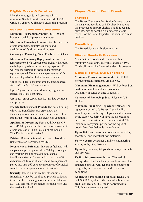#### **Eligible Goods & Services**

Manufactured goods and services with a minimum Saudi domestic value-added of 25%. Crude oil cannot be financed under this program.

#### **General Terms and Conditions**

**Minimum Transaction Amount:** SR 100,000, however partial shipments are allowed.

**Maximum Financing Amount:** Will be based on credit assesment, country exposure and availibility of funds at time of request.

**Currency of Financing:** Saudi Riyals or US Dollars

**Maximum Financing Repayment Period:** The repayment period of a supplier credit facility will depend on the type of goods and services being exported. SEP will have the discretion to decide on the maximum repayment period. The maximum repayment period for the types of goods described below are as follows:

**Up to 360 days:** consumer goods, consumables, foodstuffs, industrial raw materials

**Up to 3 years:** consumer durables, engineering spares, tools, dies, fixtures.

**Up to 12 years:** capital goods, turn key contracts and projects.

**Facility Disbursement Period:** The period during which the Beneficiary can draw down the financing amount will depend on the nature of the goods, the terms of sale and credit risk conditions.

**Application Processing Fee:** Saudi Riyals 375 or USD 100 payable at the time of submission of credit application. This Fee is not refundable. This Fee is currently waived.

**Pricing:** Determination of the price is based on risk evaluation performed by SEP.

**Repayment of Principal:** In case of facilities with a repayment period greater than 360 days, principal and mark up shall be repaid in semi-annual installments starting 6 months from the date of final disbursement. In case of a facility with a repayment period less than 360 days, the repayment of principal would be in a lump-sum at time of maturity.

**Security:** Based on the credit risk conditions, Beneficiary may be required to provide collateral to secure the financing. Collateral acceptable to SEP will depend on the nature of transaction and the parties involved.

#### **Buyer Credit Fact Sheet**

#### **Purpose**

The Buyer Credit enables foreign buyers to use the financing facilities of SEP directly and use the proceeds to import eligible Saudi goods and services, paying for them on deferred credit terms. For the Saudi Exporter, the result is a cash contract.

#### **Beneficiary**

The Beneficiary is a foreign importer

#### **Eligible Goods & Services**

Manufactured goods and services with a minimum Saudi domestic value-added of 25%. Crude oil cannot be financed under this program.

#### **General Terms and Conditions**

**Minimum Transaction Amount:** SR 100.000, however partial shipments are allowed.

**Maximum Financing Amount:** Will be based on credit assesment, country exposure and availabilty of funds at time of request.

**Currency of Financing:** Saudi Riyals or US Dollars

**Maximum Financing Repayment Period:** The repayment period of a Buyer Credit facility would depend on the type of goods and services being exported. SEP will have the discretion to decide on the maximum repayment period. The maximum repayment period for the types of goods described below is the following:

**Up to 360 days:** consumer goods, consumables, foodstuffs, and industrial raw materials.

**Up to 3 years:** consumer durables, engineering spares, tools, dies, fixtures.

**Up to 12 years:** capital goods, turn key contracts and projects.

**Facility Disbursement Period:** The period during which the Beneficiary can draw down the financing amount will depend on the nature of the goods, the terms of sale and credit risk conditions.

**Application Processing Fee:** Saudi Riyals 375 or USD 100 payable at the time of submittal of credit application. This Fee is nonrefundable. This Fee is currently waived.